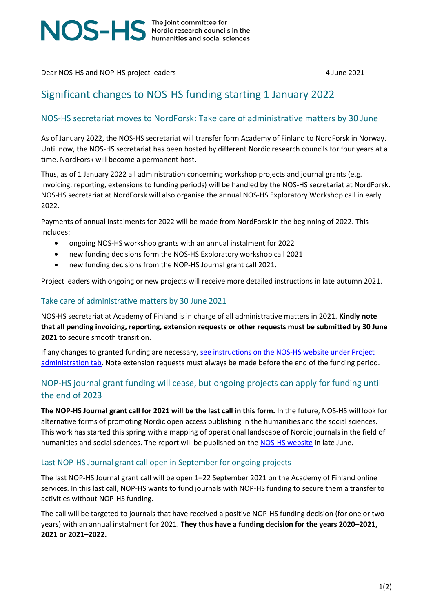

Dear NOS-HS and NOP-HS project leaders and the state of the 4 June 2021

# Significant changes to NOS-HS funding starting 1 January 2022

## NOS-HS secretariat moves to NordForsk: Take care of administrative matters by 30 June

As of January 2022, the NOS-HS secretariat will transfer form Academy of Finland to NordForsk in Norway. Until now, the NOS-HS secretariat has been hosted by different Nordic research councils for four years at a time. NordForsk will become a permanent host.

Thus, as of 1 January 2022 all administration concerning workshop projects and journal grants (e.g. invoicing, reporting, extensions to funding periods) will be handled by the NOS-HS secretariat at NordForsk. NOS-HS secretariat at NordForsk will also organise the annual NOS-HS Exploratory Workshop call in early 2022.

Payments of annual instalments for 2022 will be made from NordForsk in the beginning of 2022. This includes:

- ongoing NOS-HS workshop grants with an annual instalment for 2022
- new funding decisions form the NOS-HS Exploratory workshop call 2021
- new funding decisions from the NOP-HS Journal grant call 2021.

Project leaders with ongoing or new projects will receive more detailed instructions in late autumn 2021.

#### Take care of administrative matters by 30 June 2021

NOS-HS secretariat at Academy of Finland is in charge of all administrative matters in 2021. **Kindly note that all pending invoicing, reporting, extension requests or other requests must be submitted by 30 June 2021** to secure smooth transition.

If any changes to granted funding are necessary, see instructions [on the NOS-HS website under Project](https://www.aka.fi/en/nos-hs/project-administration/)  [administration](https://www.aka.fi/en/nos-hs/project-administration/) tab. Note extension requests must always be made before the end of the funding period.

## NOP-HS journal grant funding will cease, but ongoing projects can apply for funding until the end of 2023

**The NOP-HS Journal grant call for 2021 will be the last call in this form.** In the future, NOS-HS will look for alternative forms of promoting Nordic open access publishing in the humanities and the social sciences. This work has started this spring with a mapping of operational landscape of Nordic journals in the field of humanities and social sciences. The report will be published on th[e NOS-HS website](https://www.aka.fi/en/nos-hs/) in late June.

#### Last NOP-HS Journal grant call open in September for ongoing projects

The last NOP-HS Journal grant call will be open 1–22 September 2021 on the Academy of Finland online services. In this last call, NOP-HS wants to fund journals with NOP-HS funding to secure them a transfer to activities without NOP-HS funding.

The call will be targeted to journals that have received a positive NOP-HS funding decision (for one or two years) with an annual instalment for 2021. **They thus have a funding decision for the years 2020–2021, 2021 or 2021–2022.**